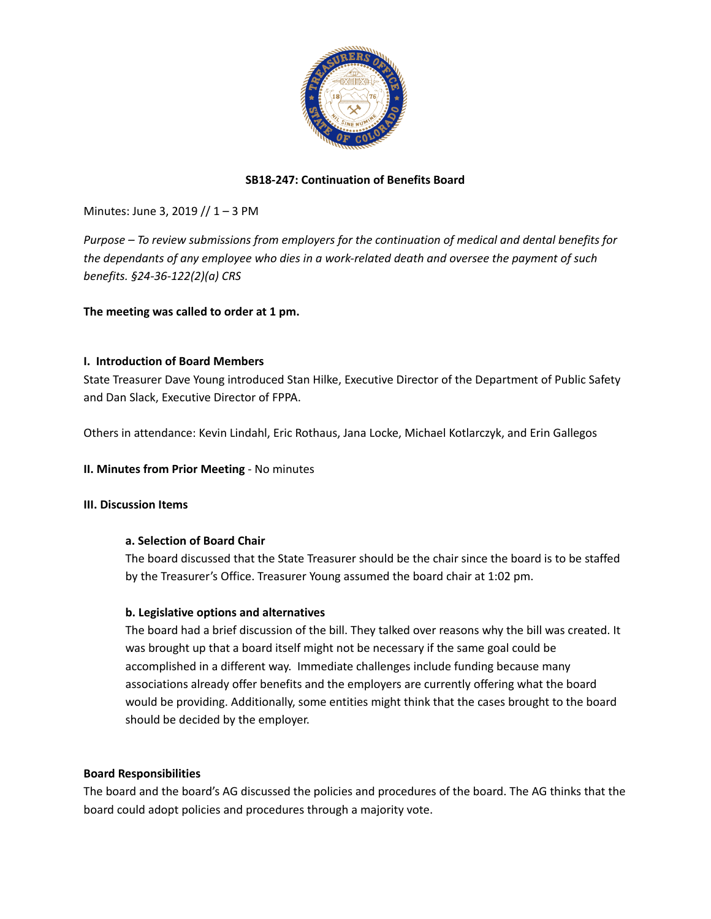

### **SB18-247: Continuation of Benefits Board**

Minutes: June 3, 2019 // 1 – 3 PM

*Purpose – To review submissions from employers for the continuation of medical and dental benefits for the dependants of any employee who dies in a work-related death and oversee the payment of such benefits. §24-36-122(2)(a) CRS*

**The meeting was called to order at 1 pm.**

#### **I. Introduction of Board Members**

State Treasurer Dave Young introduced Stan Hilke, Executive Director of the Department of Public Safety and Dan Slack, Executive Director of FPPA.

Others in attendance: Kevin Lindahl, Eric Rothaus, Jana Locke, Michael Kotlarczyk, and Erin Gallegos

#### **II. Minutes from Prior Meeting** - No minutes

#### **III. Discussion Items**

#### **a. Selection of Board Chair**

The board discussed that the State Treasurer should be the chair since the board is to be staffed by the Treasurer's Office. Treasurer Young assumed the board chair at 1:02 pm.

#### **b. Legislative options and alternatives**

The board had a brief discussion of the bill. They talked over reasons why the bill was created. It was brought up that a board itself might not be necessary if the same goal could be accomplished in a different way. Immediate challenges include funding because many associations already offer benefits and the employers are currently offering what the board would be providing. Additionally, some entities might think that the cases brought to the board should be decided by the employer.

#### **Board Responsibilities**

The board and the board's AG discussed the policies and procedures of the board. The AG thinks that the board could adopt policies and procedures through a majority vote.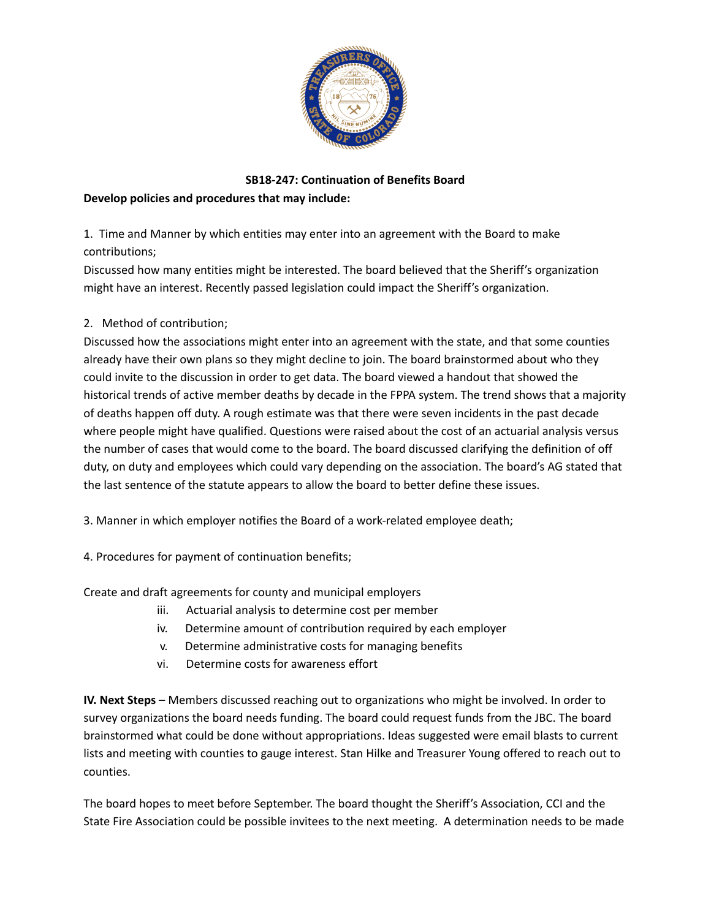

# **SB18-247: Continuation of Benefits Board Develop policies and procedures that may include:**

1. Time and Manner by which entities may enter into an agreement with the Board to make contributions;

Discussed how many entities might be interested. The board believed that the Sheriff's organization might have an interest. Recently passed legislation could impact the Sheriff's organization.

# 2. Method of contribution;

Discussed how the associations might enter into an agreement with the state, and that some counties already have their own plans so they might decline to join. The board brainstormed about who they could invite to the discussion in order to get data. The board viewed a handout that showed the historical trends of active member deaths by decade in the FPPA system. The trend shows that a majority of deaths happen off duty. A rough estimate was that there were seven incidents in the past decade where people might have qualified. Questions were raised about the cost of an actuarial analysis versus the number of cases that would come to the board. The board discussed clarifying the definition of off duty, on duty and employees which could vary depending on the association. The board's AG stated that the last sentence of the statute appears to allow the board to better define these issues.

3. Manner in which employer notifies the Board of a work-related employee death;

4. Procedures for payment of continuation benefits;

Create and draft agreements for county and municipal employers

- iii. Actuarial analysis to determine cost per member
- iv. Determine amount of contribution required by each employer
- v. Determine administrative costs for managing benefits
- vi. Determine costs for awareness effort

**IV. Next Steps** – Members discussed reaching out to organizations who might be involved. In order to survey organizations the board needs funding. The board could request funds from the JBC. The board brainstormed what could be done without appropriations. Ideas suggested were email blasts to current lists and meeting with counties to gauge interest. Stan Hilke and Treasurer Young offered to reach out to counties.

The board hopes to meet before September. The board thought the Sheriff's Association, CCI and the State Fire Association could be possible invitees to the next meeting. A determination needs to be made